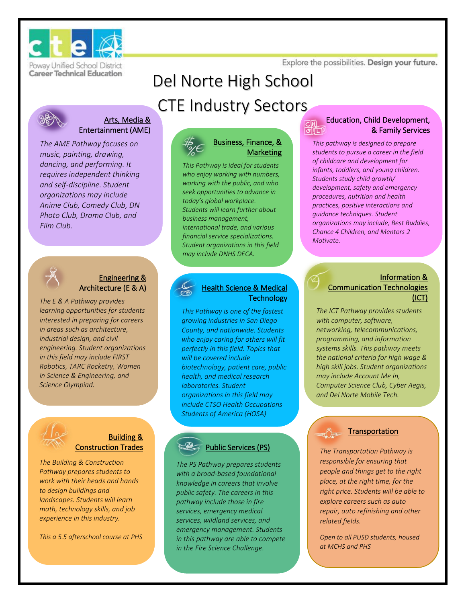Explore the possibilities. Design your future.



Poway Unified School District **Career Technical Education** 

# Del Norte High School



#### Arts, Media & Entertainment (AME)

*The AME Pathway focuses on music, painting, drawing, dancing, and performing. It requires independent thinking and self-discipline. Student organizations may include Anime Club, Comedy Club, DN Photo Club, Drama Club, and Film Club.*



#### Engineering & Architecture (E & A)

*The E & A Pathway provides learning opportunities for students interested in preparing for careers in areas such as architecture, industrial design, and civil engineering. Student organizations in this field may include FIRST Robotics, TARC Rocketry, Women in Science & Engineering, and Science Olympiad.*



#### Building & **Construction Trades**

*The Building & Construction Pathway prepares students to work with their heads and hands to design buildings and landscapes. Students will learn math, technology skills, and job experience in this industry.*

*This a 5.5 afterschool course at PHS*

# CTE Industry Sectors



#### Business, Finance, & **Marketing**

*This Pathway is ideal for students who enjoy working with numbers, working with the public, and who seek opportunities to advance in today's global workplace. Students will learn further about business management, international trade, and various financial service specializations. Student organizations in this field may include DNHS DECA.* 

#### Health Science & Medical **Technology**

*This Pathway is one of the fastest growing industries in San Diego County, and nationwide. Students who enjoy caring for others will fit perfectly in this field. Topics that will be covered include biotechnology, patient care, public health, and medical research laboratories. Student organizations in this field may include CTSO Health Occupations Students of America (HOSA)*

#### Public Services (PS)

*The PS Pathway prepares students with a broad-based foundational knowledge in careers that involve public safety. The careers in this pathway include those in fire services, emergency medical services, wildland services, and emergency management. Students in this pathway are able to compete in the Fire Science Challenge.* 

#### Education, Child Development, & Family Services ा। प

*This pathway is designed to prepare students to pursue a career in the field of childcare and development for infants, toddlers, and young children. Students study child growth/ development, safety and emergency procedures, nutrition and health practices, positive interactions and guidance techniques. Student organizations may include, Best Buddies, Chance 4 Children, and Mentors 2 Motivate.*

#### Information & Communication Technologies (ICT)

*The ICT Pathway provides students with computer, software, networking, telecommunications, programming, and information systems skills. This pathway meets the national criteria for high wage & high skill jobs. Student organizations may include Account Me In, Computer Science Club, Cyber Aegis, and Del Norte Mobile Tech.* 

#### **Transportation**

*The Transportation Pathway is responsible for ensuring that people and things get to the right place, at the right time, for the right price. Students will be able to explore careers such as auto repair, auto refinishing and other related fields.*

*Open to all PUSD students, housed at MCHS and PHS*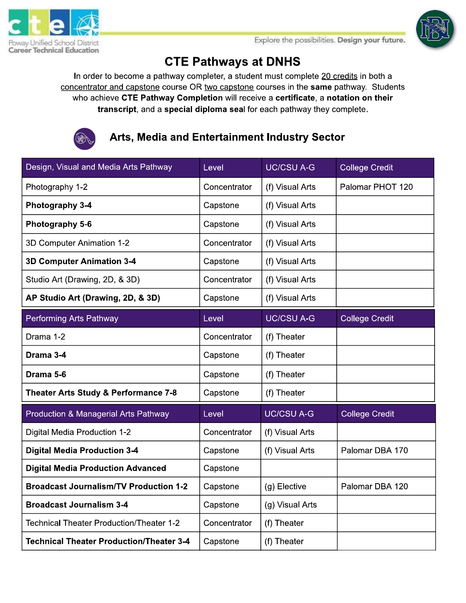



# **CTE Pathways at DNHS**

In order to become a pathway completer, a student must complete 20 credits in both a concentrator and capstone course OR two capstone courses in the same pathway. Students who achieve CTE Pathway Completion will receive a certificate, a notation on their transcript, and a special diploma seal for each pathway they complete.



Arts, Media and Entertainment Industry Sector

| Design, Visual and Media Arts Pathway           | Level        | <b>UC/CSU A-G</b> | <b>College Credit</b> |
|-------------------------------------------------|--------------|-------------------|-----------------------|
| Photography 1-2                                 | Concentrator | (f) Visual Arts   | Palomar PHOT 120      |
| Photography 3-4                                 | Capstone     | (f) Visual Arts   |                       |
| Photography 5-6                                 | Capstone     | (f) Visual Arts   |                       |
| 3D Computer Animation 1-2                       | Concentrator | (f) Visual Arts   |                       |
| <b>3D Computer Animation 3-4</b>                | Capstone     | (f) Visual Arts   |                       |
| Studio Art (Drawing, 2D, & 3D)                  | Concentrator | (f) Visual Arts   |                       |
| AP Studio Art (Drawing, 2D, & 3D)               | Capstone     | (f) Visual Arts   |                       |
| Performing Arts Pathway                         | Level        | <b>UC/CSU A-G</b> | <b>College Credit</b> |
| Drama 1-2                                       | Concentrator | (f) Theater       |                       |
| Drama 3-4                                       | Capstone     | (f) Theater       |                       |
| Drama 5-6                                       | Capstone     | (f) Theater       |                       |
| Theater Arts Study & Performance 7-8            | Capstone     | (f) Theater       |                       |
| Production & Managerial Arts Pathway            | Level        | <b>UC/CSU A-G</b> | <b>College Credit</b> |
| Digital Media Production 1-2                    | Concentrator | (f) Visual Arts   |                       |
| <b>Digital Media Production 3-4</b>             | Capstone     | (f) Visual Arts   | Palomar DBA 170       |
| <b>Digital Media Production Advanced</b>        | Capstone     |                   |                       |
| <b>Broadcast Journalism/TV Production 1-2</b>   | Capstone     | (g) Elective      | Palomar DBA 120       |
| <b>Broadcast Journalism 3-4</b>                 | Capstone     | (g) Visual Arts   |                       |
| <b>Technical Theater Production/Theater 1-2</b> | Concentrator | (f) Theater       |                       |
| <b>Technical Theater Production/Theater 3-4</b> | Capstone     | (f) Theater       |                       |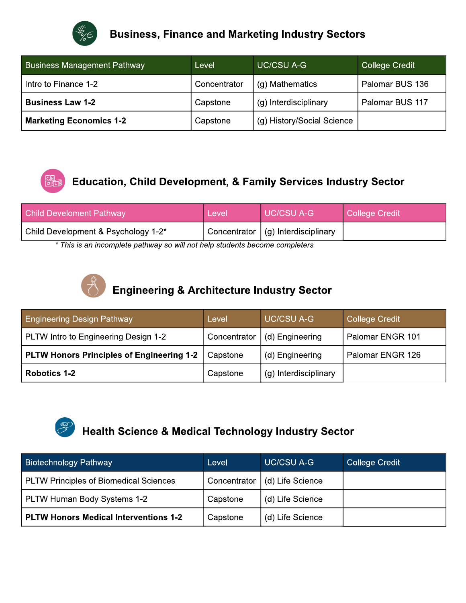

#### **Business, Finance and Marketing Industry Sectors**

| <b>Business Management Pathway</b> | Level        | <b>UC/CSU A-G</b>          | <b>College Credit</b> |
|------------------------------------|--------------|----------------------------|-----------------------|
| Intro to Finance 1-2               | Concentrator | (g) Mathematics            | Palomar BUS 136       |
| <b>Business Law 1-2</b>            | Capstone     | (g) Interdisciplinary      | Palomar BUS 117       |
| <b>Marketing Economics 1-2</b>     | Capstone     | (g) History/Social Science |                       |



# Education, Child Development, & Family Services Industry Sector

| <b>Child Develoment Pathway</b>                                                    | Level | UC/CSU A-G                           | College Credit |  |
|------------------------------------------------------------------------------------|-------|--------------------------------------|----------------|--|
| Child Development & Psychology 1-2*                                                |       | Concentrator   (g) Interdisciplinary |                |  |
| * This is an inseparately nethum : as will not help ot depends he sense separately |       |                                      |                |  |

This is an incomplete pathway so will not help students become completers



## **Engineering & Architecture Industry Sector**

| <b>Engineering Design Pathway</b>         | Level        | <b>UC/CSU A-G</b>     | College Credit   |
|-------------------------------------------|--------------|-----------------------|------------------|
| PLTW Intro to Engineering Design 1-2      | Concentrator | (d) Engineering       | Palomar ENGR 101 |
| PLTW Honors Principles of Engineering 1-2 | Capstone     | (d) Engineering       | Palomar ENGR 126 |
| Robotics 1-2                              | Capstone     | (g) Interdisciplinary |                  |



# **Health Science & Medical Technology Industry Sector**

| <b>Biotechnology Pathway</b>           | Level        | <b>UC/CSU A-G</b> | <b>College Credit</b> |
|----------------------------------------|--------------|-------------------|-----------------------|
| PLTW Principles of Biomedical Sciences | Concentrator | (d) Life Science  |                       |
| PLTW Human Body Systems 1-2            | Capstone     | (d) Life Science  |                       |
| PLTW Honors Medical Interventions 1-2  | Capstone     | (d) Life Science  |                       |